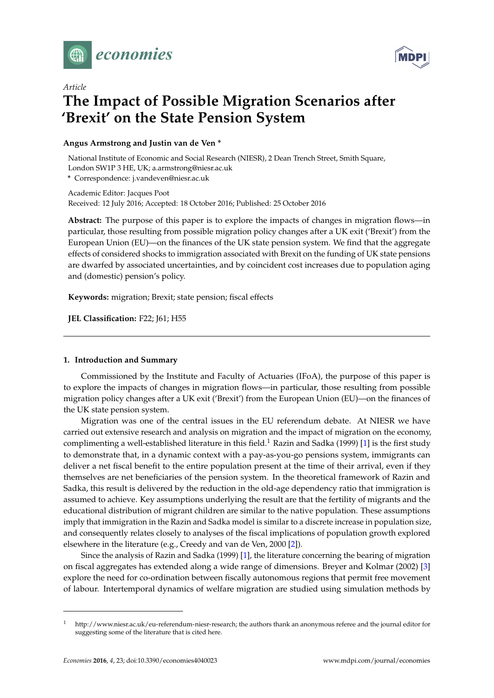

*Article*



# **The Impact of Possible Migration Scenarios after 'Brexit' on the State Pension System**

## **Angus Armstrong and Justin van de Ven \***

National Institute of Economic and Social Research (NIESR), 2 Dean Trench Street, Smith Square, London SW1P 3 HE, UK; a.armstrong@niesr.ac.uk

**\*** Correspondence: j.vandeven@niesr.ac.uk

Academic Editor: Jacques Poot Received: 12 July 2016; Accepted: 18 October 2016; Published: 25 October 2016

**Abstract:** The purpose of this paper is to explore the impacts of changes in migration flows—in particular, those resulting from possible migration policy changes after a UK exit ('Brexit') from the European Union (EU)—on the finances of the UK state pension system. We find that the aggregate effects of considered shocks to immigration associated with Brexit on the funding of UK state pensions are dwarfed by associated uncertainties, and by coincident cost increases due to population aging and (domestic) pension's policy.

**Keywords:** migration; Brexit; state pension; fiscal effects

**JEL Classification:** F22; J61; H55

#### **1. Introduction and Summary**

Commissioned by the Institute and Faculty of Actuaries (IFoA), the purpose of this paper is to explore the impacts of changes in migration flows—in particular, those resulting from possible migration policy changes after a UK exit ('Brexit') from the European Union (EU)—on the finances of the UK state pension system.

Migration was one of the central issues in the EU referendum debate. At NIESR we have carried out extensive research and analysis on migration and the impact of migration on the economy, complimenting a well-established literature in this field.<sup>1</sup> Razin and Sadka (1999) [\[1\]](#page-11-0) is the first study to demonstrate that, in a dynamic context with a pay-as-you-go pensions system, immigrants can deliver a net fiscal benefit to the entire population present at the time of their arrival, even if they themselves are net beneficiaries of the pension system. In the theoretical framework of Razin and Sadka, this result is delivered by the reduction in the old-age dependency ratio that immigration is assumed to achieve. Key assumptions underlying the result are that the fertility of migrants and the educational distribution of migrant children are similar to the native population. These assumptions imply that immigration in the Razin and Sadka model is similar to a discrete increase in population size, and consequently relates closely to analyses of the fiscal implications of population growth explored elsewhere in the literature (e.g., Creedy and van de Ven, 2000 [\[2\]](#page-11-1)).

Since the analysis of Razin and Sadka (1999) [\[1\]](#page-11-0), the literature concerning the bearing of migration on fiscal aggregates has extended along a wide range of dimensions. Breyer and Kolmar (2002) [\[3\]](#page-11-2) explore the need for co-ordination between fiscally autonomous regions that permit free movement of labour. Intertemporal dynamics of welfare migration are studied using simulation methods by

<sup>1</sup> [http://www.niesr.ac.uk/eu-referendum-niesr-research;](http://www.niesr.ac.uk/eu-referendum-niesr-research) the authors thank an anonymous referee and the journal editor for suggesting some of the literature that is cited here.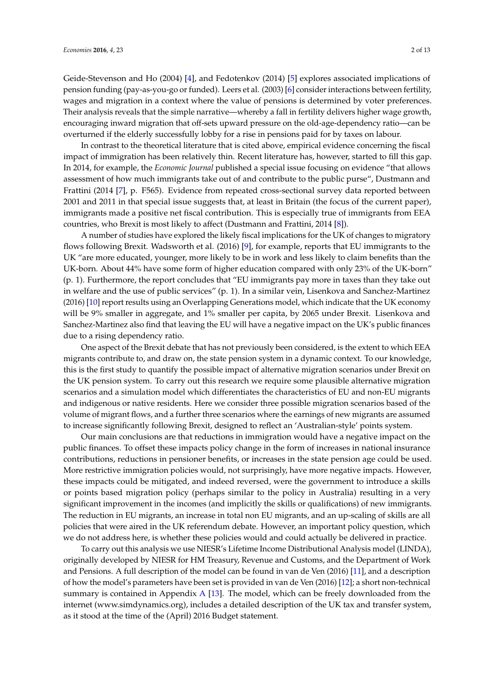Geide-Stevenson and Ho (2004) [\[4\]](#page-11-3), and Fedotenkov (2014) [\[5\]](#page-12-0) explores associated implications of pension funding (pay-as-you-go or funded). Leers et al. (2003) [\[6\]](#page-12-1) consider interactions between fertility, wages and migration in a context where the value of pensions is determined by voter preferences. Their analysis reveals that the simple narrative—whereby a fall in fertility delivers higher wage growth, encouraging inward migration that off-sets upward pressure on the old-age-dependency ratio—can be overturned if the elderly successfully lobby for a rise in pensions paid for by taxes on labour.

In contrast to the theoretical literature that is cited above, empirical evidence concerning the fiscal impact of immigration has been relatively thin. Recent literature has, however, started to fill this gap. In 2014, for example, the *Economic Journal* published a special issue focusing on evidence "that allows assessment of how much immigrants take out of and contribute to the public purse", Dustmann and Frattini (2014 [\[7\]](#page-12-2), p. F565). Evidence from repeated cross-sectional survey data reported between 2001 and 2011 in that special issue suggests that, at least in Britain (the focus of the current paper), immigrants made a positive net fiscal contribution. This is especially true of immigrants from EEA countries, who Brexit is most likely to affect (Dustmann and Frattini, 2014 [\[8\]](#page-12-3)).

A number of studies have explored the likely fiscal implications for the UK of changes to migratory flows following Brexit. Wadsworth et al. (2016) [\[9\]](#page-12-4), for example, reports that EU immigrants to the UK "are more educated, younger, more likely to be in work and less likely to claim benefits than the UK-born. About 44% have some form of higher education compared with only 23% of the UK-born" (p. 1). Furthermore, the report concludes that "EU immigrants pay more in taxes than they take out in welfare and the use of public services" (p. 1). In a similar vein, Lisenkova and Sanchez-Martinez (2016) [\[10\]](#page-12-5) report results using an Overlapping Generations model, which indicate that the UK economy will be 9% smaller in aggregate, and 1% smaller per capita, by 2065 under Brexit. Lisenkova and Sanchez-Martinez also find that leaving the EU will have a negative impact on the UK's public finances due to a rising dependency ratio.

One aspect of the Brexit debate that has not previously been considered, is the extent to which EEA migrants contribute to, and draw on, the state pension system in a dynamic context. To our knowledge, this is the first study to quantify the possible impact of alternative migration scenarios under Brexit on the UK pension system. To carry out this research we require some plausible alternative migration scenarios and a simulation model which differentiates the characteristics of EU and non-EU migrants and indigenous or native residents. Here we consider three possible migration scenarios based of the volume of migrant flows, and a further three scenarios where the earnings of new migrants are assumed to increase significantly following Brexit, designed to reflect an 'Australian-style' points system.

Our main conclusions are that reductions in immigration would have a negative impact on the public finances. To offset these impacts policy change in the form of increases in national insurance contributions, reductions in pensioner benefits, or increases in the state pension age could be used. More restrictive immigration policies would, not surprisingly, have more negative impacts. However, these impacts could be mitigated, and indeed reversed, were the government to introduce a skills or points based migration policy (perhaps similar to the policy in Australia) resulting in a very significant improvement in the incomes (and implicitly the skills or qualifications) of new immigrants. The reduction in EU migrants, an increase in total non EU migrants, and an up-scaling of skills are all policies that were aired in the UK referendum debate. However, an important policy question, which we do not address here, is whether these policies would and could actually be delivered in practice.

To carry out this analysis we use NIESR's Lifetime Income Distributional Analysis model (LINDA), originally developed by NIESR for HM Treasury, Revenue and Customs, and the Department of Work and Pensions. A full description of the model can be found in van de Ven (2016) [\[11\]](#page-12-6), and a description of how the model's parameters have been set is provided in van de Ven (2016) [\[12\]](#page-12-7); a short non-technical summary is contained in [A](#page-10-0)ppendix A  $[13]$ . The model, which can be freely downloaded from the internet [\(www.simdynamics.org\)](www.simdynamics.org), includes a detailed description of the UK tax and transfer system, as it stood at the time of the (April) 2016 Budget statement.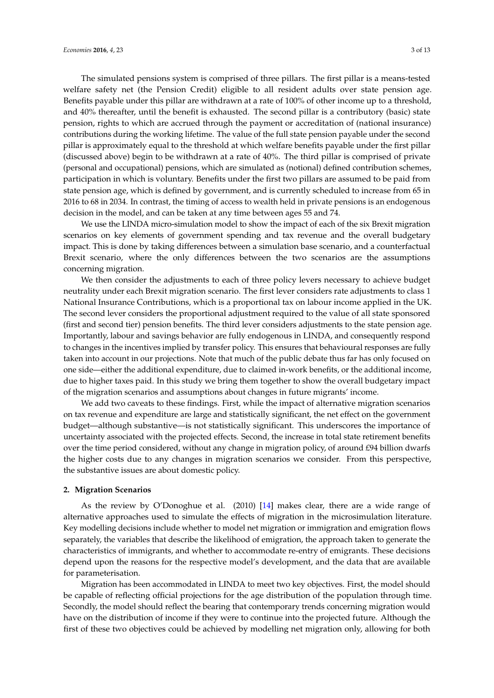The simulated pensions system is comprised of three pillars. The first pillar is a means-tested welfare safety net (the Pension Credit) eligible to all resident adults over state pension age. Benefits payable under this pillar are withdrawn at a rate of 100% of other income up to a threshold, and 40% thereafter, until the benefit is exhausted. The second pillar is a contributory (basic) state pension, rights to which are accrued through the payment or accreditation of (national insurance) contributions during the working lifetime. The value of the full state pension payable under the second pillar is approximately equal to the threshold at which welfare benefits payable under the first pillar (discussed above) begin to be withdrawn at a rate of 40%. The third pillar is comprised of private (personal and occupational) pensions, which are simulated as (notional) defined contribution schemes, participation in which is voluntary. Benefits under the first two pillars are assumed to be paid from state pension age, which is defined by government, and is currently scheduled to increase from 65 in 2016 to 68 in 2034. In contrast, the timing of access to wealth held in private pensions is an endogenous decision in the model, and can be taken at any time between ages 55 and 74.

We use the LINDA micro-simulation model to show the impact of each of the six Brexit migration scenarios on key elements of government spending and tax revenue and the overall budgetary impact. This is done by taking differences between a simulation base scenario, and a counterfactual Brexit scenario, where the only differences between the two scenarios are the assumptions concerning migration.

We then consider the adjustments to each of three policy levers necessary to achieve budget neutrality under each Brexit migration scenario. The first lever considers rate adjustments to class 1 National Insurance Contributions, which is a proportional tax on labour income applied in the UK. The second lever considers the proportional adjustment required to the value of all state sponsored (first and second tier) pension benefits. The third lever considers adjustments to the state pension age. Importantly, labour and savings behavior are fully endogenous in LINDA, and consequently respond to changes in the incentives implied by transfer policy. This ensures that behavioural responses are fully taken into account in our projections. Note that much of the public debate thus far has only focused on one side—either the additional expenditure, due to claimed in-work benefits, or the additional income, due to higher taxes paid. In this study we bring them together to show the overall budgetary impact of the migration scenarios and assumptions about changes in future migrants' income.

We add two caveats to these findings. First, while the impact of alternative migration scenarios on tax revenue and expenditure are large and statistically significant, the net effect on the government budget—although substantive—is not statistically significant. This underscores the importance of uncertainty associated with the projected effects. Second, the increase in total state retirement benefits over the time period considered, without any change in migration policy, of around £94 billion dwarfs the higher costs due to any changes in migration scenarios we consider. From this perspective, the substantive issues are about domestic policy.

#### <span id="page-2-0"></span>**2. Migration Scenarios**

As the review by O'Donoghue et al. (2010) [\[14\]](#page-12-9) makes clear, there are a wide range of alternative approaches used to simulate the effects of migration in the microsimulation literature. Key modelling decisions include whether to model net migration or immigration and emigration flows separately, the variables that describe the likelihood of emigration, the approach taken to generate the characteristics of immigrants, and whether to accommodate re-entry of emigrants. These decisions depend upon the reasons for the respective model's development, and the data that are available for parameterisation.

Migration has been accommodated in LINDA to meet two key objectives. First, the model should be capable of reflecting official projections for the age distribution of the population through time. Secondly, the model should reflect the bearing that contemporary trends concerning migration would have on the distribution of income if they were to continue into the projected future. Although the first of these two objectives could be achieved by modelling net migration only, allowing for both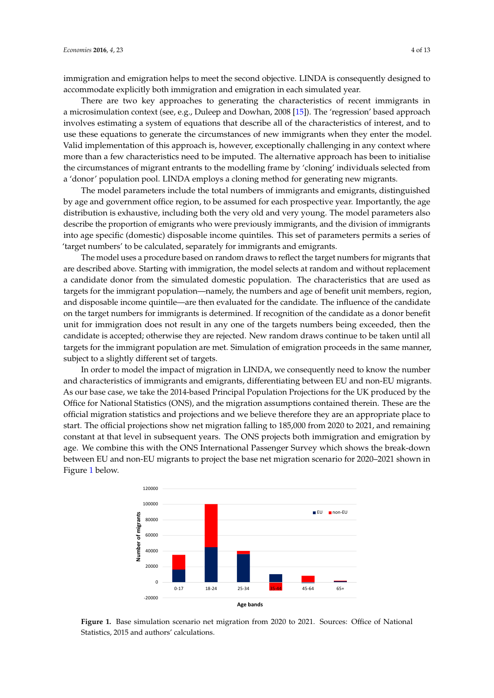immigration and emigration helps to meet the second objective. LINDA is consequently designed to accommodate explicitly both immigration and emigration in each simulated year.

There are two key approaches to generating the characteristics of recent immigrants in a microsimulation context (see, e.g., Duleep and Dowhan, 2008 [\[15\]](#page-12-10)). The 'regression' based approach *Economies* **2016**, *4*, 23 4 of 13 involves estimating a system of equations that describe all of the characteristics of interest, and to use these equations to generate the circumstances of new immigrants when they enter the model. Valid implementation of this approach is, however, exceptionally challenging in any context where more than a few characteristics need to be imputed. The alternative approach has been to initialise the circumstances of migrant entrants to the modelling frame by 'cloning' individuals selected from a 'donor' population pool. LINDA employs a cloning method for generating new migrants.  $T$  there are two approach is, nowever, exceptionally characteristics in any context

The model parameters include the total numbers of immigrants and emigrants, distinguished by age and government office region, to be assumed for each prospective year. Importantly, the age distribution is exhaustive, including both the very old and very young. The model parameters also describe the proportion of emigrants who were previously immigrants, and the division of immigrants into age specific (domestic) disposable income quintiles. This set of parameters permits a series of 'target numbers' to be calculated, separately for immigrants and emigrants. don't poulation produce pour the very old and very young. The model

The model uses a procedure based on random draws to reflect the target numbers for migrants that are described above. Starting with immigration, the model selects at random and without replacement a candidate donor from the simulated domestic population. The characteristics that are used as targets for the immigrant population—namely, the numbers and age of benefit unit members, region, and disposable income quintile—are then evaluated for the candidate. The influence of the candidate on the target numbers for immigrants is determined. If recognition of the candidate as a donor benefit unit for immigration does not result in any one of the targets numbers being exceeded, then the candidate is accepted; otherwise they are rejected. New random draws continue to be taken until all targets for the immigrant population are met. Simulation of emigration proceeds in the same manner, subject to a slightly different set of targets. that are manigratic population. That eye, the manners and age of effects and members,

In order to model the impact of migration in LINDA, we consequently need to know the number and characteristics of immigrants and emigrants, differentiating between EU and non-EU migrants. As our base case, we take the 2014-based Principal Population Projections for the UK produced by the Office for National Statistics (ONS), and the migration assumptions contained therein. These are the official migration statistics and projections and we believe therefore they are an appropriate place to start. The official projections show net migration falling to 185,000 from 2020 to 2021, and remaining constant at that level in subsequent years. The ONS projects both immigration and emigration by remaint at that level in subsequent years. The ONS projects both immigration and emigration by age. We combine this with the ONS International Passenger Survey which shows the break-down between EU and non-EU migrants to project the base net migration scenario for 2020–2021 shown in Figure 1 below. man to moder the impact of inigration in Eq e combine this with the ONS international Passenger Survey which shows the Dreak

<span id="page-3-0"></span>

**Figure 1.** Base simulation scenario net migration from 2020 to 2021. Sources: Office of National **Figure 1.** Base simulation scenario net migration from 2020 to 2021. Sources: Office of National Statistics, 2015 and authors' calculations. Statistics, 2015 and authors' calculations.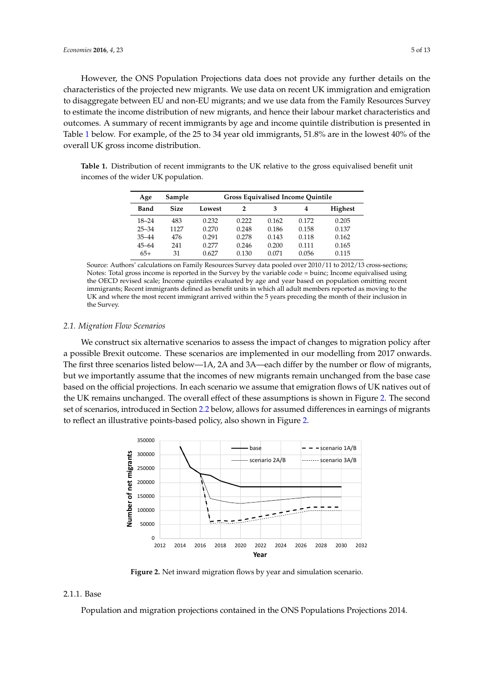However, the ONS Population Projections data does not provide any further details on the characteristics of the projected new migrants. We use data on recent UK immigration and emigration to disaggregate between EU and non-EU migrants; and we use data from the Family Resources Survey to estimate the income distribution of new migrants, and hence their labour market characteristics and outcomes. A summary of recent immigrants by age and income quintile distribution is presented in Table [1](#page-4-0) below. For example, of the 25 to 34 year old immigrants, 51.8% are in the lowest 40% of the overall UK gross income distribution. **Table 1.** Distribution of recent immigrants to the UK relative to the gross equivalised benefit unit

<span id="page-4-0"></span>Table 1. Distribution of recent immigrants to the UK relative to the gross equivalised benefit unit incomes of the wider UK population.

| Age       | Sample      |        | <b>Gross Equivalised Income Ouintile</b> |       |       |                |  |
|-----------|-------------|--------|------------------------------------------|-------|-------|----------------|--|
| Band      | <b>Size</b> | Lowest | 2                                        | 3     | 4     | <b>Highest</b> |  |
| $18 - 24$ | 483         | 0.232  | 0.222                                    | 0.162 | 0.172 | 0.205          |  |
| $25 - 34$ | 1127        | 0.270  | 0.248                                    | 0.186 | 0.158 | 0.137          |  |
| $35 - 44$ | 476         | 0.291  | 0.278                                    | 0.143 | 0.118 | 0.162          |  |
| $45 - 64$ | 241         | 0.277  | 0.246                                    | 0.200 | 0.111 | 0.165          |  |
| $65+$     | 31          | 0.627  | 0.130                                    | 0.071 | 0.056 | 0.115          |  |

Source: Authors' calculations on Family Resources Survey data pooled over 2010/11 to 2012/13 cross-sections; Notes: Total gross income is reported in the Survey by the variable code = buinc; Income equivalised using the OECD revised scale; Income quintiles evaluated by age and year based on population omitting recent immigrants; Recent immigrants defined as benefit units in which all adult members reported as moving to the immigrants; Recent immigrants defined as benefit units in which all adult members reported as moving to the UK and where the most recent immigrant arrived within the 5 years preceding the month of their inclusion in the Survey. the Survey.

## <span id="page-4-2"></span>*2.1. Migration Flow Scenarios 2.1. Migration Flow Scenarios*

We construct six alternative scenarios to assess the impact of changes to migration policy after We construct six alternative scenarios to assess the impact of changes to migration policy after a a possible Brexit outcome. These scenarios are implemented in our modelling from 2017 onwards. possible Brexit outcome. These scenarios are implemented in our modelling from 2017 onwards. The The first three scenarios listed below—1A, 2A and 3A—each differ by the number or flow of migrants, but we importantly assume that the incomes of new migrants remain unchanged from the base case but we importantly assume that the incomes of new migrants remain unchanged from the base case based on the official projections. In each scenario we assume that emigration flows of UK natives out of based on the official projections. In each scenario we assume that emigration flows of UK natives out the UK remains unchanged. The overall effect of these assumptions is shown in [Fi](#page-4-1)gure 2. The second set of scenarios, introduced in Section [2.2](#page-5-0) below, allows for assumed differences in earnings of migrants to reflect an illustrative points-based policy, also sho[wn](#page-4-1) in Figure 2.

<span id="page-4-1"></span>

**Figure 2.** Net inward migration flows by year and simulation scenario. **Figure 2.** Net inward migration flows by year and simulation scenario.

## 2.1.1. Base 2.1.1. Base

Population and migration projections contained in the ONS Populations Projections 2014. Population and migration projections contained in the ONS Populations Projections 2014.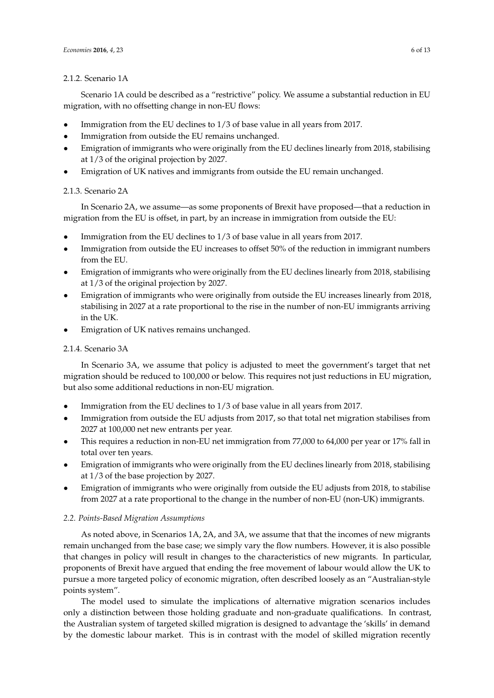## 2.1.2. Scenario 1A

Scenario 1A could be described as a "restrictive" policy. We assume a substantial reduction in EU migration, with no offsetting change in non-EU flows:

- Immigration from the EU declines to 1/3 of base value in all years from 2017.
- Immigration from outside the EU remains unchanged.
- Emigration of immigrants who were originally from the EU declines linearly from 2018, stabilising at 1/3 of the original projection by 2027.
- Emigration of UK natives and immigrants from outside the EU remain unchanged.

## 2.1.3. Scenario 2A

In Scenario 2A, we assume—as some proponents of Brexit have proposed—that a reduction in migration from the EU is offset, in part, by an increase in immigration from outside the EU:

- Immigration from the EU declines to 1/3 of base value in all years from 2017.
- Immigration from outside the EU increases to offset 50% of the reduction in immigrant numbers from the EU.
- Emigration of immigrants who were originally from the EU declines linearly from 2018, stabilising at 1/3 of the original projection by 2027.
- Emigration of immigrants who were originally from outside the EU increases linearly from 2018, stabilising in 2027 at a rate proportional to the rise in the number of non-EU immigrants arriving in the UK.
- Emigration of UK natives remains unchanged.

#### 2.1.4. Scenario 3A

In Scenario 3A, we assume that policy is adjusted to meet the government's target that net migration should be reduced to 100,000 or below. This requires not just reductions in EU migration, but also some additional reductions in non-EU migration.

- Immigration from the EU declines to 1/3 of base value in all years from 2017.
- Immigration from outside the EU adjusts from 2017, so that total net migration stabilises from 2027 at 100,000 net new entrants per year.
- This requires a reduction in non-EU net immigration from 77,000 to 64,000 per year or 17% fall in total over ten years.
- Emigration of immigrants who were originally from the EU declines linearly from 2018, stabilising at 1/3 of the base projection by 2027.
- Emigration of immigrants who were originally from outside the EU adjusts from 2018, to stabilise from 2027 at a rate proportional to the change in the number of non-EU (non-UK) immigrants.

## <span id="page-5-0"></span>*2.2. Points-Based Migration Assumptions*

As noted above, in Scenarios 1A, 2A, and 3A, we assume that that the incomes of new migrants remain unchanged from the base case; we simply vary the flow numbers. However, it is also possible that changes in policy will result in changes to the characteristics of new migrants. In particular, proponents of Brexit have argued that ending the free movement of labour would allow the UK to pursue a more targeted policy of economic migration, often described loosely as an "Australian-style points system".

The model used to simulate the implications of alternative migration scenarios includes only a distinction between those holding graduate and non-graduate qualifications. In contrast, the Australian system of targeted skilled migration is designed to advantage the 'skills' in demand by the domestic labour market. This is in contrast with the model of skilled migration recently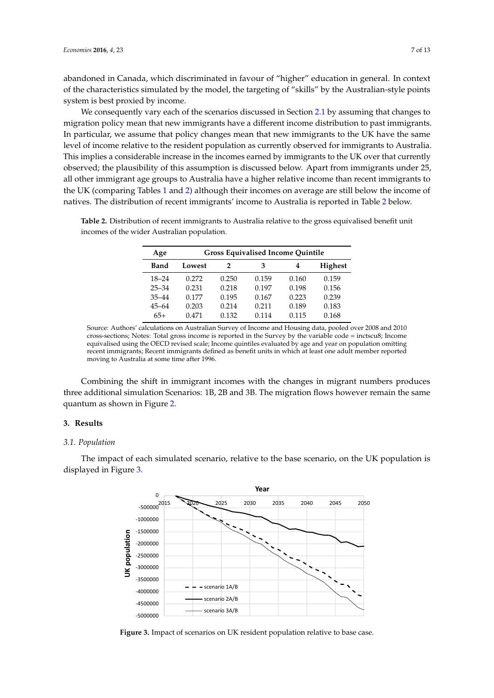abandoned in Canada, which discriminated in favour of "higher" education in general. In context of the characteristics simulated by the model, the targeting of "skills" by the Australian-style points system is best proxied by income.<br>That new immigrants have a different income different income different income different income different income the characteristics simulated by the model, the targeting of "skills" by the Australian‐style points abandoned in Canada, which dis

We consequently vary each of the scenarios discussed in Section [2.1](#page-4-2) by assuming that changes to the UK have the UK have that  $\alpha$ migration policy mean that new immigrants have a different income distribution to past immigrants.<br>-In particular, we assume that policy changes mean that new immigrants to the UK have the same level of income relative to the resident population as currently observed for immigrants to Australia. that currently observed; the plausibility of this assumption is discussed below. Apart from This implies a considerable increase in the incomes earned by immigrants to the UK over that currently immigrants under 25, all other immigrant age groups to Australia have a higher relative income than observed; the plausibility of this assumption is discussed below. Apart from immigrants under 25, all other immigrant age groups to Australia have a higher relative income than recent immigrants to australia i<br>below the income to australia is reported in the distribution of reported in the income than the contract of t the UK (comparing Tables [1](#page-4-0) and [2\)](#page-6-0) although their incomes on average are still below the income of natives. The distribution of recent immigrants' income to Australia is reported in Table [2](#page-6-0) below.

| Age         |        |       | <b>Gross Equivalised Income Quintile</b> |       |                |
|-------------|--------|-------|------------------------------------------|-------|----------------|
| <b>Band</b> | Lowest | 2     | 3                                        | 4     | <b>Highest</b> |
| $18 - 24$   | 0.272  | 0.250 | 0.159                                    | 0.160 | 0.159          |
| $25 - 34$   | 0.231  | 0.218 | 0.197                                    | 0.198 | 0.156          |
| $35 - 44$   | 0.177  | 0.195 | 0.167                                    | 0.223 | 0.239          |
| $45 - 64$   | 0.203  | 0.214 | 0.211                                    | 0.189 | 0.183          |
| $65+$       | 0.471  | 0.132 | 0.114                                    | 0.115 | 0.168          |

<span id="page-6-0"></span>Table 2. Distribution of recent immigrants to Australia relative to the gross equivalised benefit unit incomes of the wider Australian population.  $\frac{1}{2}$   $\frac{1}{2}$   $\frac{1}{2}$   $\frac{1}{2}$   $\frac{1}{2}$   $\frac{1}{2}$   $\frac{1}{2}$   $\frac{1}{2}$   $\frac{1}{2}$   $\frac{1}{2}$   $\frac{1}{2}$   $\frac{1}{2}$   $\frac{1}{2}$   $\frac{1}{2}$   $\frac{1}{2}$   $\frac{1}{2}$   $\frac{1}{2}$   $\frac{1}{2}$   $\frac{1}{2}$   $\frac{1}{2}$   $\frac{1}{2}$   $\frac{1}{2}$ 

Source: Authors' calculations on Australian Survey of Income and Housing data, pooled over 2008 and 2010 cross-sections; Notes: Total gross income is reported in the Survey by the variable code = inctscu8; Income equivalised using the OECD revised scale; Income quintiles evaluated by age and year on population omitting equivalised using the OECD revised scale, income quintines evaluated by age and year on population omitting recent immigrants; Recent immigrants defined as benefit units in which at least one adult member reported moving to Australia at some time after 1996.

Combining the shift in immigrant incomes with the changes in migrant numbers produces three additional simulation Scenarios: 1B, 2B and 3B. The migration flows however remain the same additional simulation Scenarios: 1B, 2B and 3B. The migration flows however remain the same quantum as shown in Figure [2.](#page-4-1) quantum as shown in Figure 2.

#### **3. Results 3. Results**

#### *3.1. Population 3.1. Population*

<span id="page-6-1"></span>The impact of each simulated scenario, relative to the base scenario, on the UK population is The impact of each simulated scenario, relative to the base scenario, on the UK population is displayed in Figure [3.](#page-6-1) displayed in Figure 3.



**Figure 3.** Impact of scenarios on UK resident population relative to base case. **Figure 3.** Impact of scenarios on UK resident population relative to base case.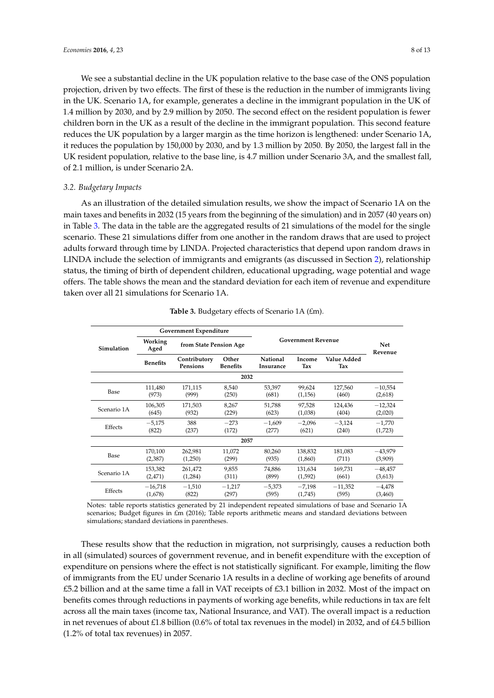We see a substantial decline in the UK population relative to the base case of the ONS population projection, driven by two effects. The first of these is the reduction in the number of immigrants living in the UK. Scenario 1A, for example, generates a decline in the immigrant population in the UK of 1.4 million by 2030, and by 2.9 million by 2050. The second effect on the resident population is fewer children born in the UK as a result of the decline in the immigrant population. This second feature reduces the UK population by a larger margin as the time horizon is lengthened: under Scenario 1A, it reduces the population by 150,000 by 2030, and by 1.3 million by 2050. By 2050, the largest fall in the UK resident population, relative to the base line, is 4.7 million under Scenario 3A, and the smallest fall, of 2.1 million, is under Scenario 2A.

#### *3.2. Budgetary Impacts*

As an illustration of the detailed simulation results, we show the impact of Scenario 1A on the main taxes and benefits in 2032 (15 years from the beginning of the simulation) and in 2057 (40 years on) in Table [3.](#page-7-0) The data in the table are the aggregated results of 21 simulations of the model for the single scenario. These 21 simulations differ from one another in the random draws that are used to project adults forward through time by LINDA. Projected characteristics that depend upon random draws in LINDA include the selection of immigrants and emigrants (as discussed in Section [2\)](#page-2-0), relationship status, the timing of birth of dependent children, educational upgrading, wage potential and wage offers. The table shows the mean and the standard deviation for each item of revenue and expenditure taken over all 21 simulations for Scenario 1A.

<span id="page-7-0"></span>

|             |                 | Government Expenditure   |                          |                                               |                |                    |           |
|-------------|-----------------|--------------------------|--------------------------|-----------------------------------------------|----------------|--------------------|-----------|
| Simulation  | Working<br>Aged | from State Pension Age   |                          | <b>Government Revenue</b>                     | Net<br>Revenue |                    |           |
|             | <b>Benefits</b> | Contributory<br>Pensions | Other<br><b>Benefits</b> | <b>National</b><br>Income<br>Tax<br>Insurance |                | Value Added<br>Tax |           |
|             |                 |                          | 2032                     |                                               |                |                    |           |
| Base        | 111,480         | 171,115                  | 8,540                    | 53,397                                        | 99,624         | 127,560            | $-10,554$ |
|             | (973)           | (999)                    | (250)                    | (681)                                         | (1,156)        | (460)              | (2,618)   |
| Scenario 1A | 106,305         | 171,503                  | 8,267                    | 51,788                                        | 97,528         | 124,436            | $-12,324$ |
|             | (645)           | (932)                    | (229)                    | (623)                                         | (1,038)        | (404)              | (2,020)   |
| Effects     | $-5,175$        | 388                      | $-273$                   | $-1,609$                                      | $-2,096$       | $-3,124$           | $-1,770$  |
|             | (822)           | (237)                    | (172)                    | (277)                                         | (621)          | (240)              | (1,723)   |
|             |                 |                          | 2057                     |                                               |                |                    |           |
| Base        | 170,100         | 262,981                  | 11,072                   | 80,260                                        | 138,832        | 181,083            | $-43,979$ |
|             | (2,387)         | (1,250)                  | (299)                    | (935)                                         | (1,860)        | (711)              | (3,909)   |
| Scenario 1A | 153,382         | 261,472                  | 9,855                    | 74,886                                        | 131,634        | 169,731            | $-48,457$ |
|             | (2, 471)        | (1,284)                  | (311)                    | (899)                                         | (1,592)        | (661)              | (3,613)   |
| Effects     | $-16,718$       | $-1,510$                 | $-1,217$                 | $-5,373$                                      | $-7,198$       | $-11,352$          | $-4,478$  |
|             | (1,678)         | (822)                    | (297)                    | (595)                                         | (1,745)        | (595)              | (3,460)   |

|  | Table 3. Budgetary effects of Scenario 1A (£m). |  |  |  |  |  |
|--|-------------------------------------------------|--|--|--|--|--|
|--|-------------------------------------------------|--|--|--|--|--|

Notes: table reports statistics generated by 21 independent repeated simulations of base and Scenario 1A scenarios; Budget figures in £m (2016); Table reports arithmetic means and standard deviations between simulations; standard deviations in parentheses.

These results show that the reduction in migration, not surprisingly, causes a reduction both in all (simulated) sources of government revenue, and in benefit expenditure with the exception of expenditure on pensions where the effect is not statistically significant. For example, limiting the flow of immigrants from the EU under Scenario 1A results in a decline of working age benefits of around £5.2 billion and at the same time a fall in VAT receipts of £3.1 billion in 2032. Most of the impact on benefits comes through reductions in payments of working age benefits, while reductions in tax are felt across all the main taxes (income tax, National Insurance, and VAT). The overall impact is a reduction in net revenues of about £1.8 billion (0.6% of total tax revenues in the model) in 2032, and of £4.5 billion (1.2% of total tax revenues) in 2057.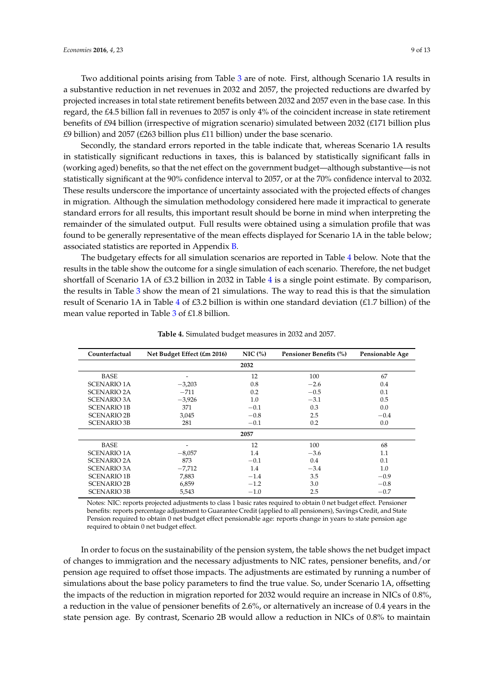Two additional points arising from Table [3](#page-7-0) are of note. First, although Scenario 1A results in a substantive reduction in net revenues in 2032 and 2057, the projected reductions are dwarfed by projected increases in total state retirement benefits between 2032 and 2057 even in the base case. In this regard, the £4.5 billion fall in revenues to 2057 is only 4% of the coincident increase in state retirement benefits of £94 billion (irrespective of migration scenario) simulated between 2032 (£171 billion plus  $£9$  billion) and 2057 (£263 billion plus £11 billion) under the base scenario.

Secondly, the standard errors reported in the table indicate that, whereas Scenario 1A results in statistically significant reductions in taxes, this is balanced by statistically significant falls in (working aged) benefits, so that the net effect on the government budget—although substantive—is not statistically significant at the 90% confidence interval to 2057, or at the 70% confidence interval to 2032. These results underscore the importance of uncertainty associated with the projected effects of changes in migration. Although the simulation methodology considered here made it impractical to generate standard errors for all results, this important result should be borne in mind when interpreting the remainder of the simulated output. Full results were obtained using a simulation profile that was found to be generally representative of the mean effects displayed for Scenario 1A in the table below; associated statistics are reported in Appendix [B.](#page-11-4)

The budgetary effects for all simulation scenarios are reported in Table [4](#page-8-0) below. Note that the results in the table show the outcome for a single simulation of each scenario. Therefore, the net budget shortfall of Scenario 1A of £3.2 billion in 2032 in Table [4](#page-8-0) is a single point estimate. By comparison, the results in Table [3](#page-7-0) show the mean of 21 simulations. The way to read this is that the simulation result of Scenario 1A in Table [4](#page-8-0) of £3.2 billion is within one standard deviation (£1.7 billion) of the mean value reported in Table [3](#page-7-0) of £1.8 billion.

<span id="page-8-0"></span>

| Counterfactual     | Net Budget Effect (£m 2016) | NIC (%) | <b>Pensioner Benefits (%)</b> | Pensionable Age |  |  |  |  |  |
|--------------------|-----------------------------|---------|-------------------------------|-----------------|--|--|--|--|--|
| 2032               |                             |         |                               |                 |  |  |  |  |  |
| BASE               |                             | 12      | 100                           | 67              |  |  |  |  |  |
| <b>SCENARIO 1A</b> | $-3,203$                    | 0.8     | $-2.6$                        | 0.4             |  |  |  |  |  |
| <b>SCENARIO 2A</b> | $-711$                      | 0.2     | $-0.5$                        | 0.1             |  |  |  |  |  |
| <b>SCENARIO 3A</b> | $-3,926$                    | 1.0     | $-3.1$                        | 0.5             |  |  |  |  |  |
| <b>SCENARIO 1B</b> | 371                         | $-0.1$  | 0.3                           | 0.0             |  |  |  |  |  |
| <b>SCENARIO 2B</b> | 3,045                       | $-0.8$  | 2.5                           | $-0.4$          |  |  |  |  |  |
| <b>SCENARIO 3B</b> | 281                         | $-0.1$  | 0.2                           | 0.0             |  |  |  |  |  |
| 2057               |                             |         |                               |                 |  |  |  |  |  |
| BASE               |                             | 12      | 100                           | 68              |  |  |  |  |  |
| <b>SCENARIO 1A</b> | $-8,057$                    | 1.4     | $-3.6$                        | 1.1             |  |  |  |  |  |
| <b>SCENARIO 2A</b> | 873                         | $-0.1$  | 0.4                           | 0.1             |  |  |  |  |  |
| <b>SCENARIO 3A</b> | $-7,712$                    | 1.4     | $-3.4$                        | 1.0             |  |  |  |  |  |
| <b>SCENARIO 1B</b> | 7,883                       | $-1.4$  | 3.5                           | $-0.9$          |  |  |  |  |  |
| <b>SCENARIO 2B</b> | 6,859                       | $-1.2$  | 3.0                           | $-0.8$          |  |  |  |  |  |
| <b>SCENARIO 3B</b> | 5,543                       | $-1.0$  | 2.5                           | $-0.7$          |  |  |  |  |  |

**Table 4.** Simulated budget measures in 2032 and 2057.

Notes: NIC: reports projected adjustments to class 1 basic rates required to obtain 0 net budget effect. Pensioner benefits: reports percentage adjustment to Guarantee Credit (applied to all pensioners), Savings Credit, and State Pension required to obtain 0 net budget effect pensionable age: reports change in years to state pension age required to obtain 0 net budget effect.

In order to focus on the sustainability of the pension system, the table shows the net budget impact of changes to immigration and the necessary adjustments to NIC rates, pensioner benefits, and/or pension age required to offset those impacts. The adjustments are estimated by running a number of simulations about the base policy parameters to find the true value. So, under Scenario 1A, offsetting the impacts of the reduction in migration reported for 2032 would require an increase in NICs of 0.8%, a reduction in the value of pensioner benefits of 2.6%, or alternatively an increase of 0.4 years in the state pension age. By contrast, Scenario 2B would allow a reduction in NICs of 0.8% to maintain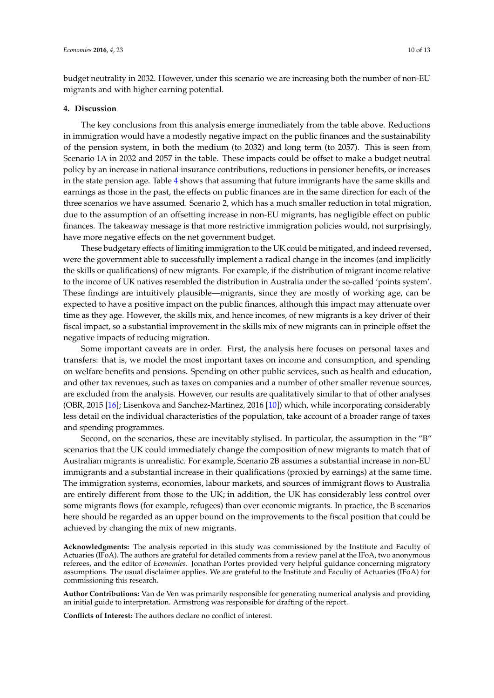budget neutrality in 2032. However, under this scenario we are increasing both the number of non-EU migrants and with higher earning potential.

#### **4. Discussion**

The key conclusions from this analysis emerge immediately from the table above. Reductions in immigration would have a modestly negative impact on the public finances and the sustainability of the pension system, in both the medium (to 2032) and long term (to 2057). This is seen from Scenario 1A in 2032 and 2057 in the table. These impacts could be offset to make a budget neutral policy by an increase in national insurance contributions, reductions in pensioner benefits, or increases in the state pension age. Table [4](#page-8-0) shows that assuming that future immigrants have the same skills and earnings as those in the past, the effects on public finances are in the same direction for each of the three scenarios we have assumed. Scenario 2, which has a much smaller reduction in total migration, due to the assumption of an offsetting increase in non-EU migrants, has negligible effect on public finances. The takeaway message is that more restrictive immigration policies would, not surprisingly, have more negative effects on the net government budget.

These budgetary effects of limiting immigration to the UK could be mitigated, and indeed reversed, were the government able to successfully implement a radical change in the incomes (and implicitly the skills or qualifications) of new migrants. For example, if the distribution of migrant income relative to the income of UK natives resembled the distribution in Australia under the so-called 'points system'. These findings are intuitively plausible—migrants, since they are mostly of working age, can be expected to have a positive impact on the public finances, although this impact may attenuate over time as they age. However, the skills mix, and hence incomes, of new migrants is a key driver of their fiscal impact, so a substantial improvement in the skills mix of new migrants can in principle offset the negative impacts of reducing migration.

Some important caveats are in order. First, the analysis here focuses on personal taxes and transfers: that is, we model the most important taxes on income and consumption, and spending on welfare benefits and pensions. Spending on other public services, such as health and education, and other tax revenues, such as taxes on companies and a number of other smaller revenue sources, are excluded from the analysis. However, our results are qualitatively similar to that of other analyses (OBR, 2015 [\[16\]](#page-12-11); Lisenkova and Sanchez-Martinez, 2016 [\[10\]](#page-12-5)) which, while incorporating considerably less detail on the individual characteristics of the population, take account of a broader range of taxes and spending programmes.

Second, on the scenarios, these are inevitably stylised. In particular, the assumption in the "B" scenarios that the UK could immediately change the composition of new migrants to match that of Australian migrants is unrealistic. For example, Scenario 2B assumes a substantial increase in non-EU immigrants and a substantial increase in their qualifications (proxied by earnings) at the same time. The immigration systems, economies, labour markets, and sources of immigrant flows to Australia are entirely different from those to the UK; in addition, the UK has considerably less control over some migrants flows (for example, refugees) than over economic migrants. In practice, the B scenarios here should be regarded as an upper bound on the improvements to the fiscal position that could be achieved by changing the mix of new migrants.

**Acknowledgments:** The analysis reported in this study was commissioned by the Institute and Faculty of Actuaries (IFoA). The authors are grateful for detailed comments from a review panel at the IFoA, two anonymous referees, and the editor of *Economies*. Jonathan Portes provided very helpful guidance concerning migratory assumptions. The usual disclaimer applies. We are grateful to the Institute and Faculty of Actuaries (IFoA) for commissioning this research.

**Author Contributions:** Van de Ven was primarily responsible for generating numerical analysis and providing an initial guide to interpretation. Armstrong was responsible for drafting of the report.

**Conflicts of Interest:** The authors declare no conflict of interest.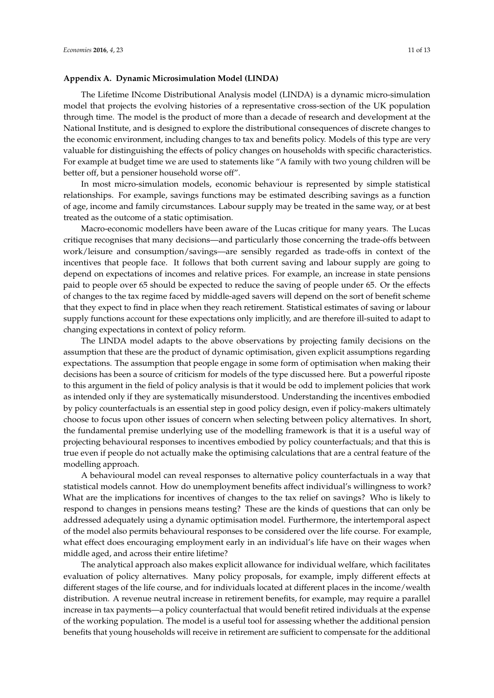<span id="page-10-0"></span>The Lifetime INcome Distributional Analysis model (LINDA) is a dynamic micro-simulation model that projects the evolving histories of a representative cross-section of the UK population through time. The model is the product of more than a decade of research and development at the National Institute, and is designed to explore the distributional consequences of discrete changes to the economic environment, including changes to tax and benefits policy. Models of this type are very valuable for distinguishing the effects of policy changes on households with specific characteristics. For example at budget time we are used to statements like "A family with two young children will be better off, but a pensioner household worse off".

In most micro-simulation models, economic behaviour is represented by simple statistical relationships. For example, savings functions may be estimated describing savings as a function of age, income and family circumstances. Labour supply may be treated in the same way, or at best treated as the outcome of a static optimisation.

Macro-economic modellers have been aware of the Lucas critique for many years. The Lucas critique recognises that many decisions—and particularly those concerning the trade-offs between work/leisure and consumption/savings—are sensibly regarded as trade-offs in context of the incentives that people face. It follows that both current saving and labour supply are going to depend on expectations of incomes and relative prices. For example, an increase in state pensions paid to people over 65 should be expected to reduce the saving of people under 65. Or the effects of changes to the tax regime faced by middle-aged savers will depend on the sort of benefit scheme that they expect to find in place when they reach retirement. Statistical estimates of saving or labour supply functions account for these expectations only implicitly, and are therefore ill-suited to adapt to changing expectations in context of policy reform.

The LINDA model adapts to the above observations by projecting family decisions on the assumption that these are the product of dynamic optimisation, given explicit assumptions regarding expectations. The assumption that people engage in some form of optimisation when making their decisions has been a source of criticism for models of the type discussed here. But a powerful riposte to this argument in the field of policy analysis is that it would be odd to implement policies that work as intended only if they are systematically misunderstood. Understanding the incentives embodied by policy counterfactuals is an essential step in good policy design, even if policy-makers ultimately choose to focus upon other issues of concern when selecting between policy alternatives. In short, the fundamental premise underlying use of the modelling framework is that it is a useful way of projecting behavioural responses to incentives embodied by policy counterfactuals; and that this is true even if people do not actually make the optimising calculations that are a central feature of the modelling approach.

A behavioural model can reveal responses to alternative policy counterfactuals in a way that statistical models cannot. How do unemployment benefits affect individual's willingness to work? What are the implications for incentives of changes to the tax relief on savings? Who is likely to respond to changes in pensions means testing? These are the kinds of questions that can only be addressed adequately using a dynamic optimisation model. Furthermore, the intertemporal aspect of the model also permits behavioural responses to be considered over the life course. For example, what effect does encouraging employment early in an individual's life have on their wages when middle aged, and across their entire lifetime?

The analytical approach also makes explicit allowance for individual welfare, which facilitates evaluation of policy alternatives. Many policy proposals, for example, imply different effects at different stages of the life course, and for individuals located at different places in the income/wealth distribution. A revenue neutral increase in retirement benefits, for example, may require a parallel increase in tax payments—a policy counterfactual that would benefit retired individuals at the expense of the working population. The model is a useful tool for assessing whether the additional pension benefits that young households will receive in retirement are sufficient to compensate for the additional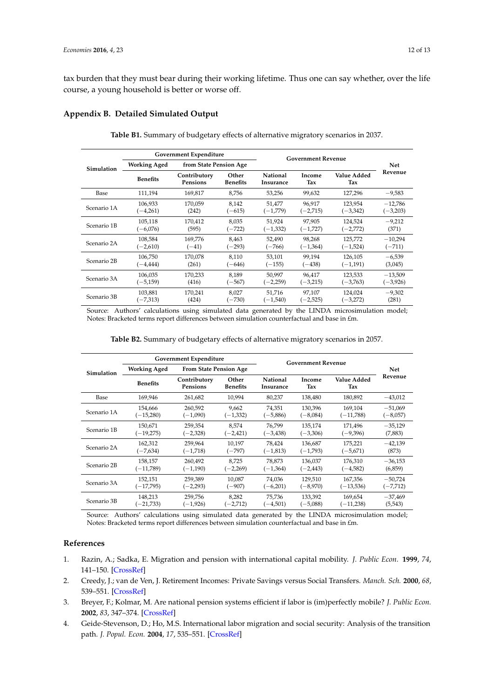tax burden that they must bear during their working lifetime. Thus one can say whether, over the life course, a young household is better or worse off.

|             |                                        | Government Expenditure   |                          |                           |               |                    |             |  |
|-------------|----------------------------------------|--------------------------|--------------------------|---------------------------|---------------|--------------------|-------------|--|
| Simulation  | Working Aged<br>from State Pension Age |                          |                          | <b>Government Revenue</b> |               |                    |             |  |
|             | <b>Benefits</b>                        | Contributory<br>Pensions | Other<br><b>Benefits</b> | National<br>Insurance     | Income<br>Tax | Value Added<br>Tax | Revenue     |  |
| Base        | 111,194                                | 169,817                  | 8,756                    | 53,256                    | 99,632        | 127,296            | $-9,583$    |  |
| Scenario 1A | 106,933                                | 170.059                  | 8,142                    | 51,477                    | 96.917        | 123.954            | $-12,786$   |  |
|             | $(-4,261)$                             | (242)                    | $(-615)$                 | $(-1,779)$                | $(-2,715)$    | $(-3,342)$         | $(-3,203)$  |  |
| Scenario 1B | 105,118                                | 170,412                  | 8,035                    | 51,924                    | 97,905        | 124,524            | $-9,212$    |  |
|             | $(-6,076)$                             | (595)                    | $(-722)$                 | $(-1,332)$                | $(-1,727)$    | $(-2,772)$         | (371)       |  |
| Scenario 2A | 108,584                                | 169,776                  | 8,463                    | 52,490                    | 98,268        | 125,772            | $-10,294$   |  |
|             | $(-2,610)$                             | $(-41)$                  | $(-293)$                 | $(-766)$                  | $(-1,364)$    | $(-1, 524)$        | $(-711)$    |  |
| Scenario 2B | 106,750                                | 170,078                  | 8,110                    | 53,101                    | 99,194        | 126,105            | $-6,539$    |  |
|             | $(-4, 444)$                            | (261)                    | $(-646)$                 | $(-155)$                  | $(-438)$      | $(-1,191)$         | (3,045)     |  |
| Scenario 3A | 106,035                                | 170,233                  | 8,189                    | 50.997                    | 96.417        | 123,533            | $-13,509$   |  |
|             | $(-5, 159)$                            | (416)                    | $(-567)$                 | $(-2,259)$                | $(-3,215)$    | $(-3,763)$         | $(-3, 926)$ |  |
| Scenario 3B | 103,881                                | 170,241                  | 8,027                    | 51,716                    | 97,107        | 124,024            | $-9,302$    |  |
|             | $(-7,313)$                             | (424)                    | $(-730)$                 | $(-1, 540)$               | $(-2, 525)$   | $(-3,272)$         | (281)       |  |

#### <span id="page-11-4"></span>**Appendix B. Detailed Simulated Output**

**Table B1.** Summary of budgetary effects of alternative migratory scenarios in 2037.

Source: Authors' calculations using simulated data generated by the LINDA microsimulation model; Notes: Bracketed terms report differences between simulation counterfactual and base in £m.

| Simulation  | Government Expenditure                               |                          |                          | Government Revenue    | Net           |                    |             |
|-------------|------------------------------------------------------|--------------------------|--------------------------|-----------------------|---------------|--------------------|-------------|
|             | <b>Working Aged</b><br><b>From State Pension Age</b> |                          |                          |                       |               |                    |             |
|             | <b>Benefits</b>                                      | Contributory<br>Pensions | Other<br><b>Benefits</b> | National<br>Insurance | Income<br>Tax | Value Added<br>Tax | Revenue     |
| Base        | 169,946                                              | 261,682                  | 10,994                   | 80,237                | 138,480       | 180,892            | $-43,012$   |
| Scenario 1A | 154,666                                              | 260,592                  | 9,662                    | 74,351                | 130,396       | 169,104            | $-51,069$   |
|             | $(-15,280)$                                          | $(-1,090)$               | $(-1,332)$               | $(-5,886)$            | $(-8,084)$    | $(-11,788)$        | $(-8.057)$  |
| Scenario 1B | 150,671                                              | 259.354                  | 8.574                    | 76.799                | 135.174       | 171,496            | $-35,129$   |
|             | $(-19,275)$                                          | $(-2,328)$               | $(-2, 421)$              | $(-3, 438)$           | $(-3,306)$    | $(-9,396)$         | (7,883)     |
| Scenario 2A | 162,312                                              | 259,964                  | 10,197                   | 78,424                | 136,687       | 175,221            | $-42,139$   |
|             | $(-7, 634)$                                          | $(-1,718)$               | $(-797)$                 | $(-1, 813)$           | $(-1,793)$    | $(-5,671)$         | (873)       |
| Scenario 2B | 158,157                                              | 260,492                  | 8.725                    | 78.873                | 136,037       | 176,310            | $-36,153$   |
|             | $(-11,789)$                                          | $(-1,190)$               | $(-2,269)$               | $(-1,364)$            | $(-2, 443)$   | $(-4, 582)$        | (6,859)     |
| Scenario 3A | 152,151                                              | 259,389                  | 10,087                   | 74,036                | 129,510       | 167,356            | $-50,724$   |
|             | $(-17, 795)$                                         | $(-2,293)$               | $(-907)$                 | $(-6,201)$            | $(-8.970)$    | $(-13,536)$        | $(-7, 712)$ |
| Scenario 3B | 148,213                                              | 259,756                  | 8.282                    | 75.736                | 133,392       | 169,654            | $-37,469$   |
|             | $(-21,733)$                                          | $(-1,926)$               | $(-2,712)$               | $(-4, 501)$           | $(-5,088)$    | $(-11, 238)$       | (5,543)     |

**Table B2.** Summary of budgetary effects of alternative migratory scenarios in 2057.

Source: Authors' calculations using simulated data generated by the LINDA microsimulation model; Notes: Bracketed terms report differences between simulation counterfactual and base in £m.

#### **References**

- <span id="page-11-0"></span>1. Razin, A.; Sadka, E. Migration and pension with international capital mobility. *J. Public Econ.* **1999**, *74*, 141–150. [\[CrossRef\]](http://dx.doi.org/10.1016/S0047-2727(99)00038-9)
- <span id="page-11-1"></span>2. Creedy, J.; van de Ven, J. Retirement Incomes: Private Savings versus Social Transfers. *Manch. Sch.* **2000**, *68*, 539–551. [\[CrossRef\]](http://dx.doi.org/10.1111/1467-9957.00217)
- <span id="page-11-2"></span>3. Breyer, F.; Kolmar, M. Are national pension systems efficient if labor is (im)perfectly mobile? *J. Public Econ.* **2002**, *83*, 347–374. [\[CrossRef\]](http://dx.doi.org/10.1016/S0047-2727(00)00170-5)
- <span id="page-11-3"></span>4. Geide-Stevenson, D.; Ho, M.S. International labor migration and social security: Analysis of the transition path. *J. Popul. Econ.* **2004**, *17*, 535–551. [\[CrossRef\]](http://dx.doi.org/10.1007/s00148-004-0202-5)